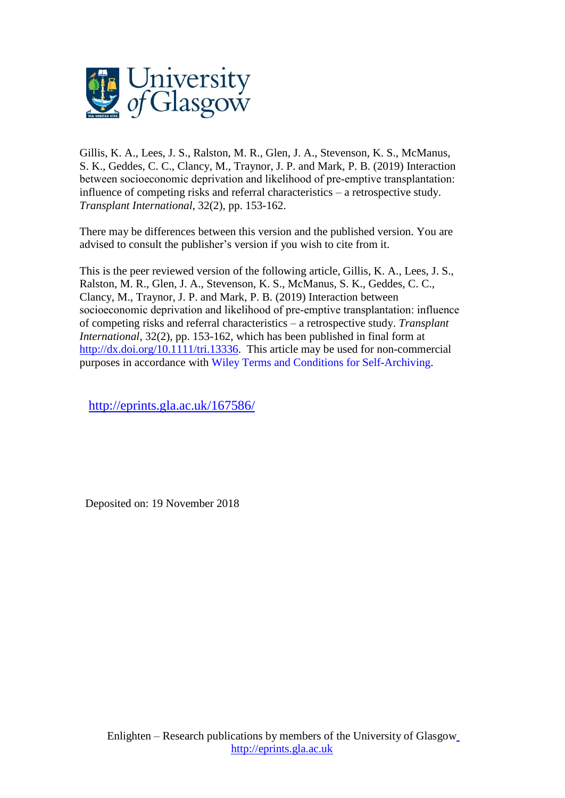

Gillis, K. A., Lees, J. S., Ralston, M. R., Glen, J. A., Stevenson, K. S., McManus, S. K., Geddes, C. C., Clancy, M., Traynor, J. P. and Mark, P. B. (2019) Interaction between socioeconomic deprivation and likelihood of pre-emptive transplantation: influence of competing risks and referral characteristics – a retrospective study. *Transplant International*, 32(2), pp. 153-162.

There may be differences between this version and the published version. You are advised to consult the publisher's version if you wish to cite from it.

This is the peer reviewed version of the following article, Gillis, K. A., Lees, J. S., Ralston, M. R., Glen, J. A., Stevenson, K. S., McManus, S. K., Geddes, C. C., Clancy, M., Traynor, J. P. and Mark, P. B. (2019) Interaction between socioeconomic deprivation and likelihood of pre-emptive transplantation: influence of competing risks and referral characteristics – a retrospective study. *Transplant International*, 32(2), pp. 153-162, which has been published in final form at [http://dx.doi.org/10.1111/tri.13336.](http://dx.doi.org/10.1111/tri.13336) This article may be used for non-commercial purposes in accordance with Wiley Terms and Conditions for [Self-Archiving.](http://olabout.wiley.com/WileyCDA/Section/id-828039.html#terms)

<http://eprints.gla.ac.uk/167586/>

Deposited on: 19 November 2018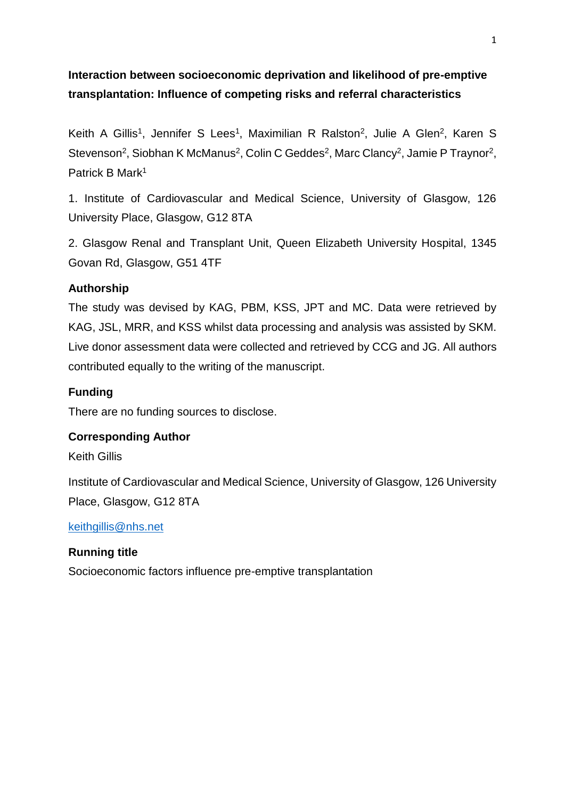# **Interaction between socioeconomic deprivation and likelihood of pre-emptive transplantation: Influence of competing risks and referral characteristics**

Keith A Gillis<sup>1</sup>, Jennifer S Lees<sup>1</sup>, Maximilian R Ralston<sup>2</sup>, Julie A Glen<sup>2</sup>, Karen S Stevenson<sup>2</sup>, Siobhan K McManus<sup>2</sup>, Colin C Geddes<sup>2</sup>, Marc Clancy<sup>2</sup>, Jamie P Traynor<sup>2</sup>, Patrick B Mark<sup>1</sup>

1. Institute of Cardiovascular and Medical Science, University of Glasgow, 126 University Place, Glasgow, G12 8TA

2. Glasgow Renal and Transplant Unit, Queen Elizabeth University Hospital, 1345 Govan Rd, Glasgow, G51 4TF

## **Authorship**

The study was devised by KAG, PBM, KSS, JPT and MC. Data were retrieved by KAG, JSL, MRR, and KSS whilst data processing and analysis was assisted by SKM. Live donor assessment data were collected and retrieved by CCG and JG. All authors contributed equally to the writing of the manuscript.

# **Funding**

There are no funding sources to disclose.

## **Corresponding Author**

Keith Gillis

Institute of Cardiovascular and Medical Science, University of Glasgow, 126 University Place, Glasgow, G12 8TA

## [keithgillis@nhs.net](mailto:keithgillis@nhs.net)

# **Running title**

Socioeconomic factors influence pre-emptive transplantation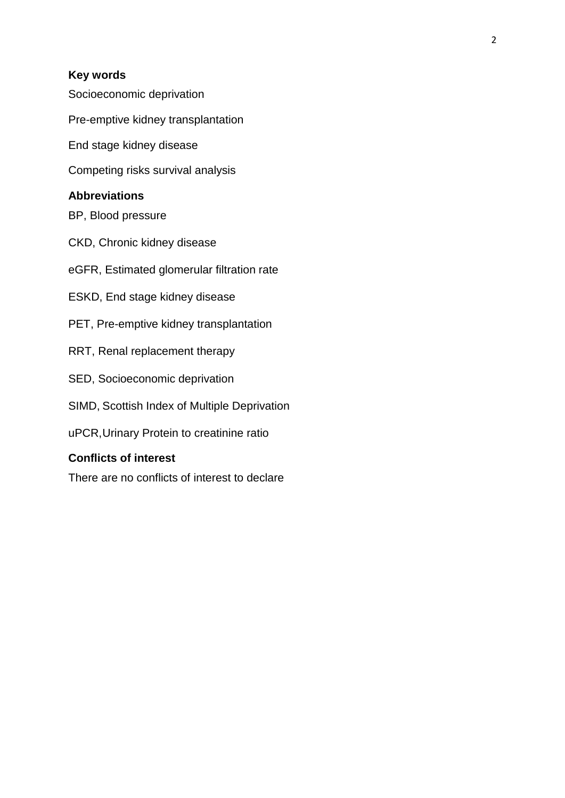## **Key words**

- Socioeconomic deprivation
- Pre-emptive kidney transplantation
- End stage kidney disease
- Competing risks survival analysis

## **Abbreviations**

- BP, Blood pressure
- CKD, Chronic kidney disease
- eGFR, Estimated glomerular filtration rate
- ESKD, End stage kidney disease
- PET, Pre-emptive kidney transplantation
- RRT, Renal replacement therapy
- SED, Socioeconomic deprivation
- SIMD, Scottish Index of Multiple Deprivation
- uPCR,Urinary Protein to creatinine ratio

## **Conflicts of interest**

There are no conflicts of interest to declare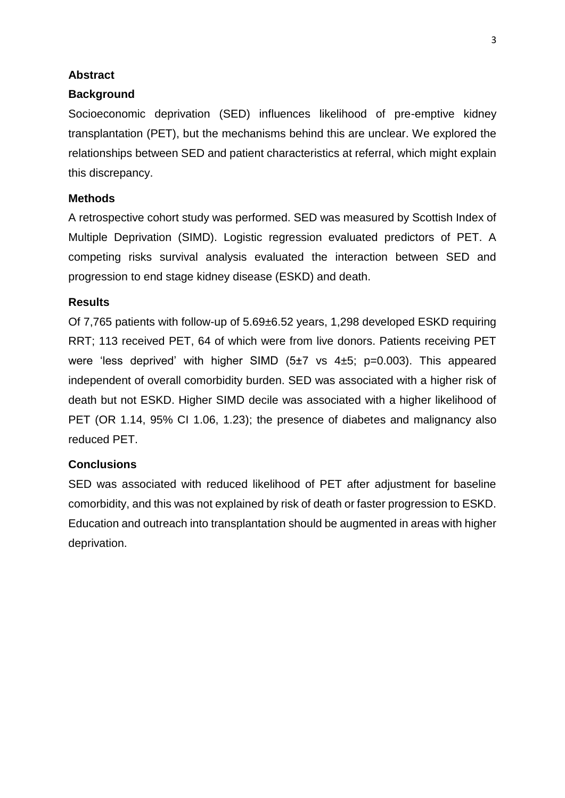## **Abstract**

## **Background**

Socioeconomic deprivation (SED) influences likelihood of pre-emptive kidney transplantation (PET), but the mechanisms behind this are unclear. We explored the relationships between SED and patient characteristics at referral, which might explain this discrepancy.

## **Methods**

A retrospective cohort study was performed. SED was measured by Scottish Index of Multiple Deprivation (SIMD). Logistic regression evaluated predictors of PET. A competing risks survival analysis evaluated the interaction between SED and progression to end stage kidney disease (ESKD) and death.

## **Results**

Of 7,765 patients with follow-up of 5.69±6.52 years, 1,298 developed ESKD requiring RRT; 113 received PET, 64 of which were from live donors. Patients receiving PET were 'less deprived' with higher SIMD  $(5±7 \text{ vs } 4±5; \text{ p} = 0.003)$ . This appeared independent of overall comorbidity burden. SED was associated with a higher risk of death but not ESKD. Higher SIMD decile was associated with a higher likelihood of PET (OR 1.14, 95% CI 1.06, 1.23); the presence of diabetes and malignancy also reduced PET.

### **Conclusions**

SED was associated with reduced likelihood of PET after adjustment for baseline comorbidity, and this was not explained by risk of death or faster progression to ESKD. Education and outreach into transplantation should be augmented in areas with higher deprivation.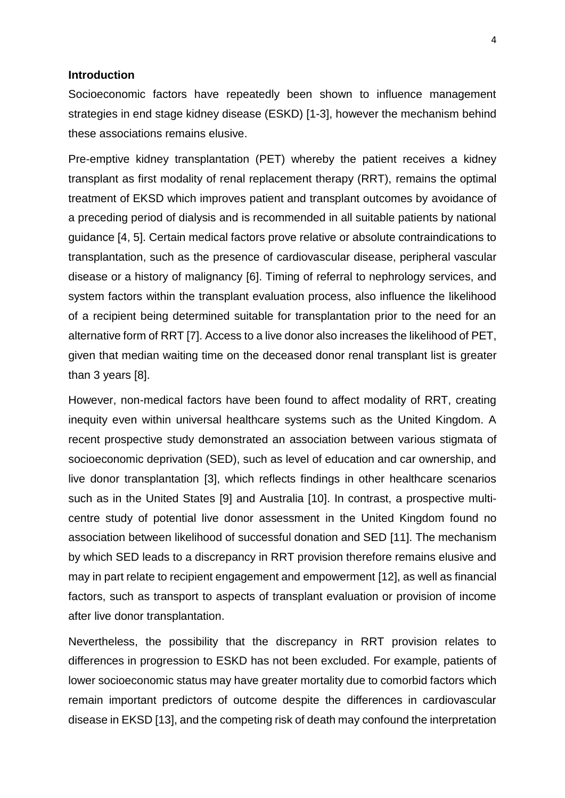#### **Introduction**

Socioeconomic factors have repeatedly been shown to influence management strategies in end stage kidney disease (ESKD) [1-3], however the mechanism behind these associations remains elusive.

Pre-emptive kidney transplantation (PET) whereby the patient receives a kidney transplant as first modality of renal replacement therapy (RRT), remains the optimal treatment of EKSD which improves patient and transplant outcomes by avoidance of a preceding period of dialysis and is recommended in all suitable patients by national guidance [4, 5]. Certain medical factors prove relative or absolute contraindications to transplantation, such as the presence of cardiovascular disease, peripheral vascular disease or a history of malignancy [6]. Timing of referral to nephrology services, and system factors within the transplant evaluation process, also influence the likelihood of a recipient being determined suitable for transplantation prior to the need for an alternative form of RRT [7]. Access to a live donor also increases the likelihood of PET, given that median waiting time on the deceased donor renal transplant list is greater than 3 years [8].

However, non-medical factors have been found to affect modality of RRT, creating inequity even within universal healthcare systems such as the United Kingdom. A recent prospective study demonstrated an association between various stigmata of socioeconomic deprivation (SED), such as level of education and car ownership, and live donor transplantation [3], which reflects findings in other healthcare scenarios such as in the United States [9] and Australia [10]. In contrast, a prospective multicentre study of potential live donor assessment in the United Kingdom found no association between likelihood of successful donation and SED [11]. The mechanism by which SED leads to a discrepancy in RRT provision therefore remains elusive and may in part relate to recipient engagement and empowerment [12], as well as financial factors, such as transport to aspects of transplant evaluation or provision of income after live donor transplantation.

Nevertheless, the possibility that the discrepancy in RRT provision relates to differences in progression to ESKD has not been excluded. For example, patients of lower socioeconomic status may have greater mortality due to comorbid factors which remain important predictors of outcome despite the differences in cardiovascular disease in EKSD [13], and the competing risk of death may confound the interpretation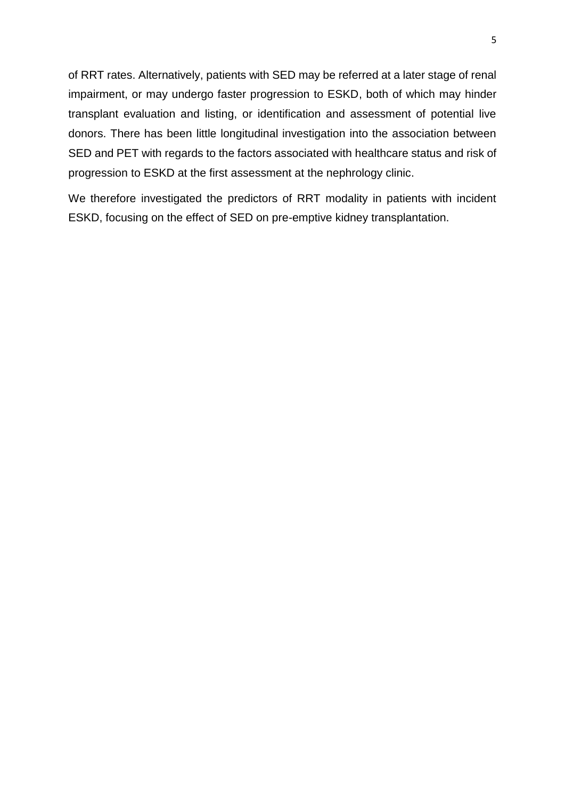of RRT rates. Alternatively, patients with SED may be referred at a later stage of renal impairment, or may undergo faster progression to ESKD, both of which may hinder transplant evaluation and listing, or identification and assessment of potential live donors. There has been little longitudinal investigation into the association between SED and PET with regards to the factors associated with healthcare status and risk of progression to ESKD at the first assessment at the nephrology clinic.

We therefore investigated the predictors of RRT modality in patients with incident ESKD, focusing on the effect of SED on pre-emptive kidney transplantation.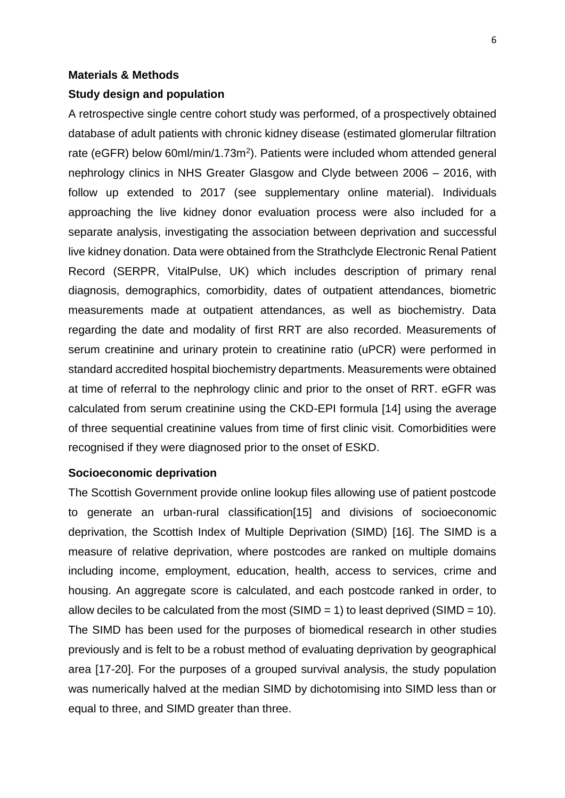#### **Materials & Methods**

#### **Study design and population**

A retrospective single centre cohort study was performed, of a prospectively obtained database of adult patients with chronic kidney disease (estimated glomerular filtration rate (eGFR) below 60ml/min/1.73m<sup>2</sup>). Patients were included whom attended general nephrology clinics in NHS Greater Glasgow and Clyde between 2006 – 2016, with follow up extended to 2017 (see supplementary online material). Individuals approaching the live kidney donor evaluation process were also included for a separate analysis, investigating the association between deprivation and successful live kidney donation. Data were obtained from the Strathclyde Electronic Renal Patient Record (SERPR, VitalPulse, UK) which includes description of primary renal diagnosis, demographics, comorbidity, dates of outpatient attendances, biometric measurements made at outpatient attendances, as well as biochemistry. Data regarding the date and modality of first RRT are also recorded. Measurements of serum creatinine and urinary protein to creatinine ratio (uPCR) were performed in standard accredited hospital biochemistry departments. Measurements were obtained at time of referral to the nephrology clinic and prior to the onset of RRT. eGFR was calculated from serum creatinine using the CKD-EPI formula [14] using the average of three sequential creatinine values from time of first clinic visit. Comorbidities were recognised if they were diagnosed prior to the onset of ESKD.

### **Socioeconomic deprivation**

The Scottish Government provide online lookup files allowing use of patient postcode to generate an urban-rural classification[15] and divisions of socioeconomic deprivation, the Scottish Index of Multiple Deprivation (SIMD) [16]. The SIMD is a measure of relative deprivation, where postcodes are ranked on multiple domains including income, employment, education, health, access to services, crime and housing. An aggregate score is calculated, and each postcode ranked in order, to allow deciles to be calculated from the most (SIMD = 1) to least deprived (SIMD = 10). The SIMD has been used for the purposes of biomedical research in other studies previously and is felt to be a robust method of evaluating deprivation by geographical area [17-20]. For the purposes of a grouped survival analysis, the study population was numerically halved at the median SIMD by dichotomising into SIMD less than or equal to three, and SIMD greater than three.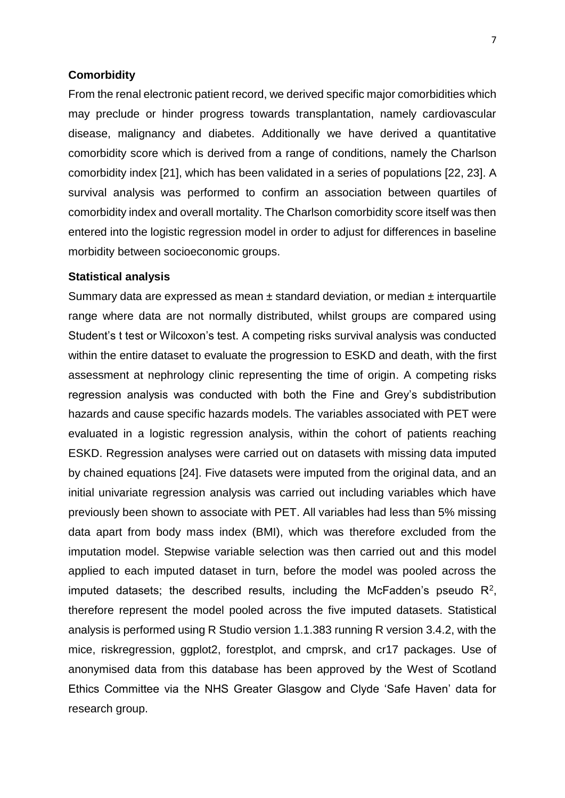#### **Comorbidity**

From the renal electronic patient record, we derived specific major comorbidities which may preclude or hinder progress towards transplantation, namely cardiovascular disease, malignancy and diabetes. Additionally we have derived a quantitative comorbidity score which is derived from a range of conditions, namely the Charlson comorbidity index [21], which has been validated in a series of populations [22, 23]. A survival analysis was performed to confirm an association between quartiles of comorbidity index and overall mortality. The Charlson comorbidity score itself was then entered into the logistic regression model in order to adjust for differences in baseline morbidity between socioeconomic groups.

#### **Statistical analysis**

Summary data are expressed as mean  $\pm$  standard deviation, or median  $\pm$  interguartile range where data are not normally distributed, whilst groups are compared using Student's t test or Wilcoxon's test. A competing risks survival analysis was conducted within the entire dataset to evaluate the progression to ESKD and death, with the first assessment at nephrology clinic representing the time of origin. A competing risks regression analysis was conducted with both the Fine and Grey's subdistribution hazards and cause specific hazards models. The variables associated with PET were evaluated in a logistic regression analysis, within the cohort of patients reaching ESKD. Regression analyses were carried out on datasets with missing data imputed by chained equations [24]. Five datasets were imputed from the original data, and an initial univariate regression analysis was carried out including variables which have previously been shown to associate with PET. All variables had less than 5% missing data apart from body mass index (BMI), which was therefore excluded from the imputation model. Stepwise variable selection was then carried out and this model applied to each imputed dataset in turn, before the model was pooled across the imputed datasets; the described results, including the McFadden's pseudo  $R^2$ , therefore represent the model pooled across the five imputed datasets. Statistical analysis is performed using R Studio version 1.1.383 running R version 3.4.2, with the mice, riskregression, ggplot2, forestplot, and cmprsk, and cr17 packages. Use of anonymised data from this database has been approved by the West of Scotland Ethics Committee via the NHS Greater Glasgow and Clyde 'Safe Haven' data for research group.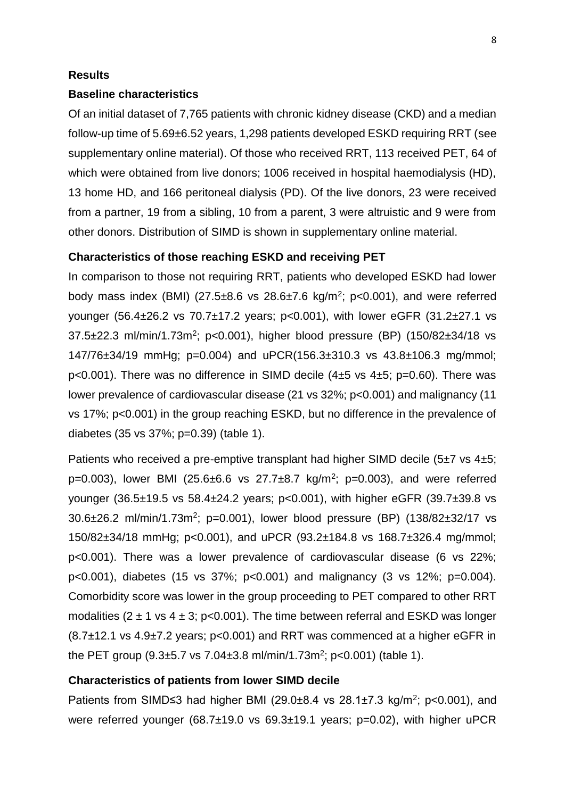#### **Results**

#### **Baseline characteristics**

Of an initial dataset of 7,765 patients with chronic kidney disease (CKD) and a median follow-up time of 5.69±6.52 years, 1,298 patients developed ESKD requiring RRT (see supplementary online material). Of those who received RRT, 113 received PET, 64 of which were obtained from live donors; 1006 received in hospital haemodialysis (HD), 13 home HD, and 166 peritoneal dialysis (PD). Of the live donors, 23 were received from a partner, 19 from a sibling, 10 from a parent, 3 were altruistic and 9 were from other donors. Distribution of SIMD is shown in supplementary online material.

### **Characteristics of those reaching ESKD and receiving PET**

In comparison to those not requiring RRT, patients who developed ESKD had lower body mass index (BMI)  $(27.5\pm8.6 \text{ vs } 28.6\pm7.6 \text{ kg/m}^2; \text{ p} < 0.001)$ , and were referred younger (56.4±26.2 vs 70.7±17.2 years; p<0.001), with lower eGFR (31.2±27.1 vs 37.5±22.3 ml/min/1.73m<sup>2</sup>; p<0.001), higher blood pressure (BP) (150/82±34/18 vs 147/76±34/19 mmHg; p=0.004) and uPCR(156.3±310.3 vs 43.8±106.3 mg/mmol; p<0.001). There was no difference in SIMD decile  $(4±5$  vs  $4±5$ ; p=0.60). There was lower prevalence of cardiovascular disease (21 vs 32%; p<0.001) and malignancy (11 vs 17%; p<0.001) in the group reaching ESKD, but no difference in the prevalence of diabetes (35 vs 37%; p=0.39) (table 1).

Patients who received a pre-emptive transplant had higher SIMD decile  $(5±7 \text{ vs } 4±5;$  $p=0.003$ ), lower BMI (25.6 $\pm$ 6.6 vs 27.7 $\pm$ 8.7 kg/m<sup>2</sup>; p=0.003), and were referred younger (36.5±19.5 vs 58.4±24.2 years; p<0.001), with higher eGFR (39.7±39.8 vs 30.6±26.2 ml/min/1.73m<sup>2</sup>; p=0.001), lower blood pressure (BP) (138/82±32/17 vs 150/82±34/18 mmHg; p<0.001), and uPCR (93.2±184.8 vs 168.7±326.4 mg/mmol; p<0.001). There was a lower prevalence of cardiovascular disease (6 vs 22%; p<0.001), diabetes (15 vs 37%; p<0.001) and malignancy (3 vs 12%; p=0.004). Comorbidity score was lower in the group proceeding to PET compared to other RRT modalities ( $2 \pm 1$  vs  $4 \pm 3$ ; p<0.001). The time between referral and ESKD was longer (8.7±12.1 vs 4.9±7.2 years; p<0.001) and RRT was commenced at a higher eGFR in the PET group (9.3±5.7 vs 7.04±3.8 ml/min/1.73m<sup>2</sup>; p<0.001) (table 1).

## **Characteristics of patients from lower SIMD decile**

Patients from SIMD≤3 had higher BMI (29.0 $\pm$ 8.4 vs 28.1 $\pm$ 7.3 kg/m<sup>2</sup>; p<0.001), and were referred younger (68.7±19.0 vs 69.3±19.1 years; p=0.02), with higher uPCR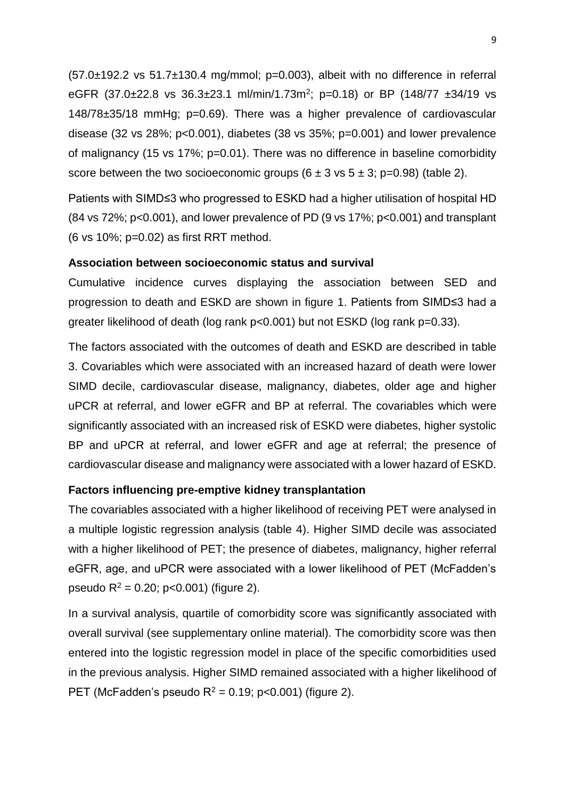$(57.0\pm192.2 \text{ vs } 51.7\pm130.4 \text{ mg/mmol}; p=0.003)$ , albeit with no difference in referral eGFR (37.0±22.8 vs 36.3±23.1 ml/min/1.73m<sup>2</sup>; p=0.18) or BP (148/77 ±34/19 vs 148/78±35/18 mmHg; p=0.69). There was a higher prevalence of cardiovascular disease (32 vs 28%; p<0.001), diabetes (38 vs 35%; p=0.001) and lower prevalence of malignancy (15 vs 17%; p=0.01). There was no difference in baseline comorbidity score between the two socioeconomic groups  $(6 \pm 3 \text{ vs } 5 \pm 3; \text{ p=0.98})$  (table 2).

Patients with SIMD≤3 who progressed to ESKD had a higher utilisation of hospital HD (84 vs 72%; p<0.001), and lower prevalence of PD (9 vs 17%; p<0.001) and transplant (6 vs 10%; p=0.02) as first RRT method.

#### **Association between socioeconomic status and survival**

Cumulative incidence curves displaying the association between SED and progression to death and ESKD are shown in figure 1. Patients from SIMD≤3 had a greater likelihood of death (log rank p<0.001) but not ESKD (log rank p=0.33).

The factors associated with the outcomes of death and ESKD are described in table 3. Covariables which were associated with an increased hazard of death were lower SIMD decile, cardiovascular disease, malignancy, diabetes, older age and higher uPCR at referral, and lower eGFR and BP at referral. The covariables which were significantly associated with an increased risk of ESKD were diabetes, higher systolic BP and uPCR at referral, and lower eGFR and age at referral; the presence of cardiovascular disease and malignancy were associated with a lower hazard of ESKD.

#### **Factors influencing pre-emptive kidney transplantation**

The covariables associated with a higher likelihood of receiving PET were analysed in a multiple logistic regression analysis (table 4). Higher SIMD decile was associated with a higher likelihood of PET; the presence of diabetes, malignancy, higher referral eGFR, age, and uPCR were associated with a lower likelihood of PET (McFadden's pseudo  $R^2 = 0.20$ ; p<0.001) (figure 2).

In a survival analysis, quartile of comorbidity score was significantly associated with overall survival (see supplementary online material). The comorbidity score was then entered into the logistic regression model in place of the specific comorbidities used in the previous analysis. Higher SIMD remained associated with a higher likelihood of PET (McFadden's pseudo  $R^2 = 0.19$ ; p<0.001) (figure 2).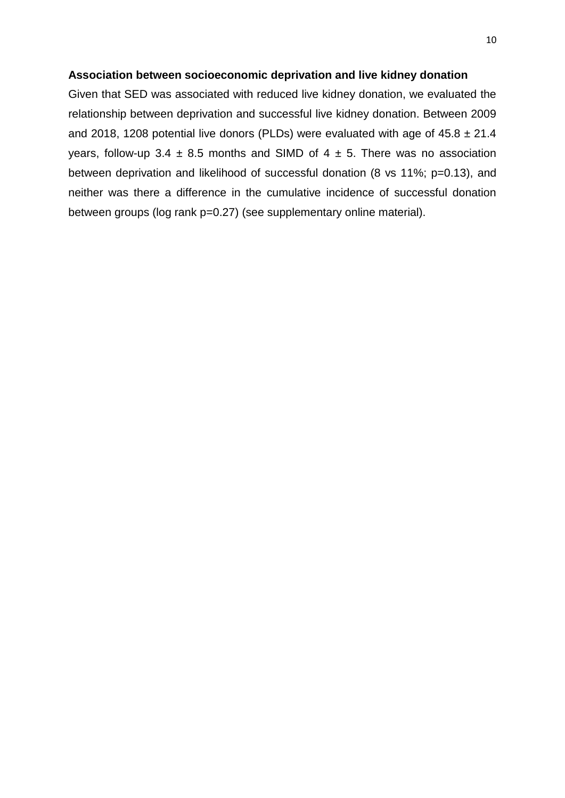#### **Association between socioeconomic deprivation and live kidney donation**

Given that SED was associated with reduced live kidney donation, we evaluated the relationship between deprivation and successful live kidney donation. Between 2009 and 2018, 1208 potential live donors (PLDs) were evaluated with age of  $45.8 \pm 21.4$ years, follow-up 3.4  $\pm$  8.5 months and SIMD of 4  $\pm$  5. There was no association between deprivation and likelihood of successful donation (8 vs 11%; p=0.13), and neither was there a difference in the cumulative incidence of successful donation between groups (log rank p=0.27) (see supplementary online material).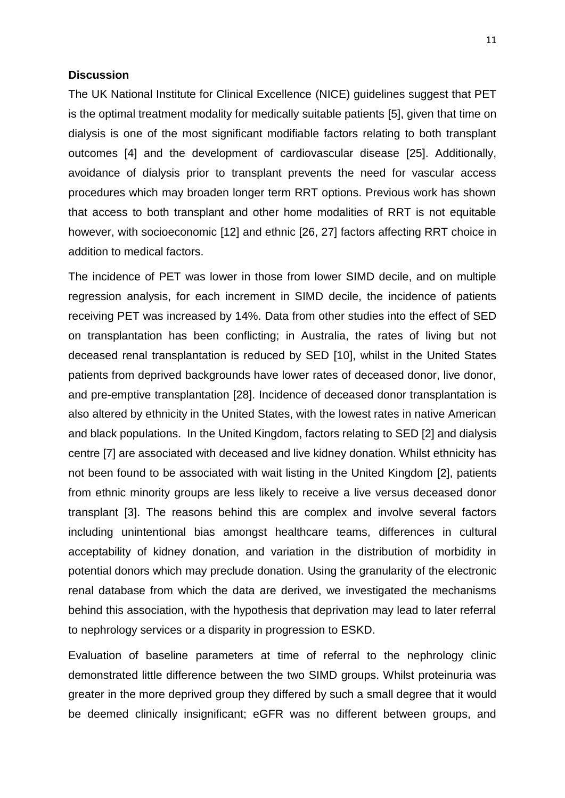#### **Discussion**

The UK National Institute for Clinical Excellence (NICE) guidelines suggest that PET is the optimal treatment modality for medically suitable patients [5], given that time on dialysis is one of the most significant modifiable factors relating to both transplant outcomes [4] and the development of cardiovascular disease [25]. Additionally, avoidance of dialysis prior to transplant prevents the need for vascular access procedures which may broaden longer term RRT options. Previous work has shown that access to both transplant and other home modalities of RRT is not equitable however, with socioeconomic [12] and ethnic [26, 27] factors affecting RRT choice in addition to medical factors.

The incidence of PET was lower in those from lower SIMD decile, and on multiple regression analysis, for each increment in SIMD decile, the incidence of patients receiving PET was increased by 14%. Data from other studies into the effect of SED on transplantation has been conflicting; in Australia, the rates of living but not deceased renal transplantation is reduced by SED [10], whilst in the United States patients from deprived backgrounds have lower rates of deceased donor, live donor, and pre-emptive transplantation [28]. Incidence of deceased donor transplantation is also altered by ethnicity in the United States, with the lowest rates in native American and black populations. In the United Kingdom, factors relating to SED [2] and dialysis centre [7] are associated with deceased and live kidney donation. Whilst ethnicity has not been found to be associated with wait listing in the United Kingdom [2], patients from ethnic minority groups are less likely to receive a live versus deceased donor transplant [3]. The reasons behind this are complex and involve several factors including unintentional bias amongst healthcare teams, differences in cultural acceptability of kidney donation, and variation in the distribution of morbidity in potential donors which may preclude donation. Using the granularity of the electronic renal database from which the data are derived, we investigated the mechanisms behind this association, with the hypothesis that deprivation may lead to later referral to nephrology services or a disparity in progression to ESKD.

Evaluation of baseline parameters at time of referral to the nephrology clinic demonstrated little difference between the two SIMD groups. Whilst proteinuria was greater in the more deprived group they differed by such a small degree that it would be deemed clinically insignificant; eGFR was no different between groups, and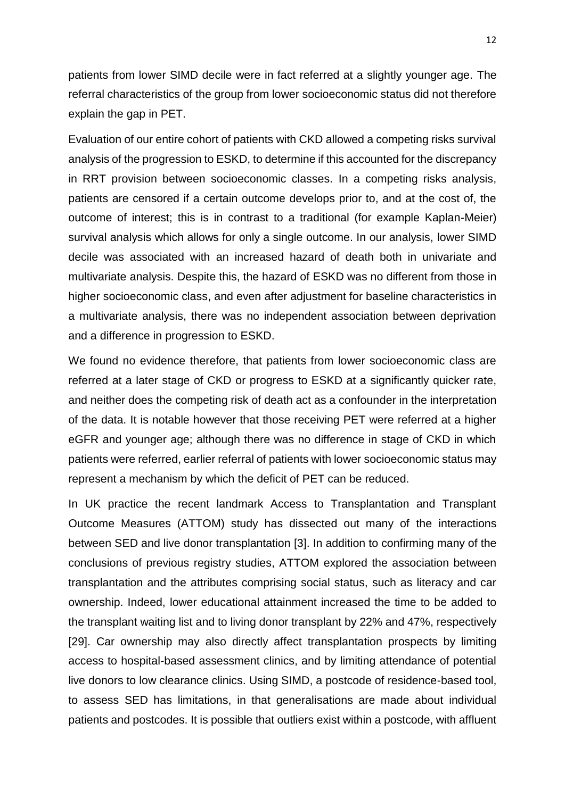patients from lower SIMD decile were in fact referred at a slightly younger age. The referral characteristics of the group from lower socioeconomic status did not therefore explain the gap in PET.

Evaluation of our entire cohort of patients with CKD allowed a competing risks survival analysis of the progression to ESKD, to determine if this accounted for the discrepancy in RRT provision between socioeconomic classes. In a competing risks analysis, patients are censored if a certain outcome develops prior to, and at the cost of, the outcome of interest; this is in contrast to a traditional (for example Kaplan-Meier) survival analysis which allows for only a single outcome. In our analysis, lower SIMD decile was associated with an increased hazard of death both in univariate and multivariate analysis. Despite this, the hazard of ESKD was no different from those in higher socioeconomic class, and even after adjustment for baseline characteristics in a multivariate analysis, there was no independent association between deprivation and a difference in progression to ESKD.

We found no evidence therefore, that patients from lower socioeconomic class are referred at a later stage of CKD or progress to ESKD at a significantly quicker rate, and neither does the competing risk of death act as a confounder in the interpretation of the data. It is notable however that those receiving PET were referred at a higher eGFR and younger age; although there was no difference in stage of CKD in which patients were referred, earlier referral of patients with lower socioeconomic status may represent a mechanism by which the deficit of PET can be reduced.

In UK practice the recent landmark Access to Transplantation and Transplant Outcome Measures (ATTOM) study has dissected out many of the interactions between SED and live donor transplantation [3]. In addition to confirming many of the conclusions of previous registry studies, ATTOM explored the association between transplantation and the attributes comprising social status, such as literacy and car ownership. Indeed, lower educational attainment increased the time to be added to the transplant waiting list and to living donor transplant by 22% and 47%, respectively [29]. Car ownership may also directly affect transplantation prospects by limiting access to hospital-based assessment clinics, and by limiting attendance of potential live donors to low clearance clinics. Using SIMD, a postcode of residence-based tool, to assess SED has limitations, in that generalisations are made about individual patients and postcodes. It is possible that outliers exist within a postcode, with affluent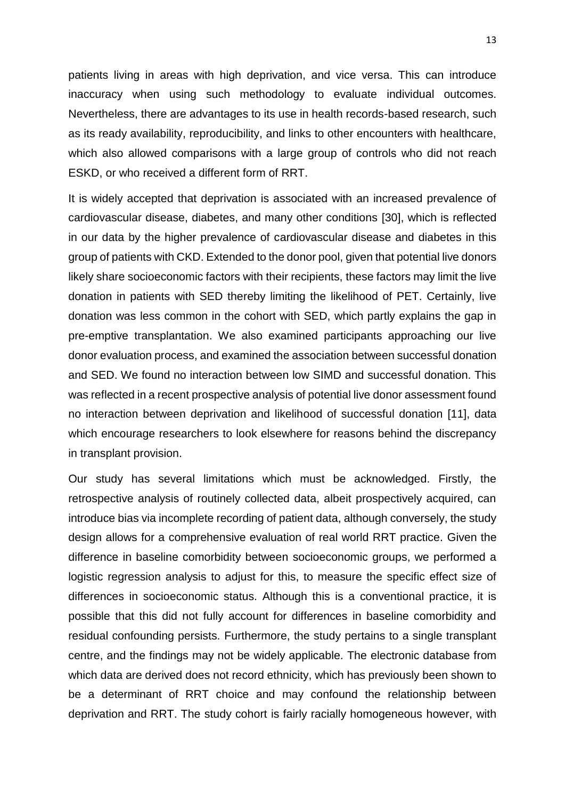patients living in areas with high deprivation, and vice versa. This can introduce inaccuracy when using such methodology to evaluate individual outcomes. Nevertheless, there are advantages to its use in health records-based research, such as its ready availability, reproducibility, and links to other encounters with healthcare, which also allowed comparisons with a large group of controls who did not reach ESKD, or who received a different form of RRT.

It is widely accepted that deprivation is associated with an increased prevalence of cardiovascular disease, diabetes, and many other conditions [30], which is reflected in our data by the higher prevalence of cardiovascular disease and diabetes in this group of patients with CKD. Extended to the donor pool, given that potential live donors likely share socioeconomic factors with their recipients, these factors may limit the live donation in patients with SED thereby limiting the likelihood of PET. Certainly, live donation was less common in the cohort with SED, which partly explains the gap in pre-emptive transplantation. We also examined participants approaching our live donor evaluation process, and examined the association between successful donation and SED. We found no interaction between low SIMD and successful donation. This was reflected in a recent prospective analysis of potential live donor assessment found no interaction between deprivation and likelihood of successful donation [11], data which encourage researchers to look elsewhere for reasons behind the discrepancy in transplant provision.

Our study has several limitations which must be acknowledged. Firstly, the retrospective analysis of routinely collected data, albeit prospectively acquired, can introduce bias via incomplete recording of patient data, although conversely, the study design allows for a comprehensive evaluation of real world RRT practice. Given the difference in baseline comorbidity between socioeconomic groups, we performed a logistic regression analysis to adjust for this, to measure the specific effect size of differences in socioeconomic status. Although this is a conventional practice, it is possible that this did not fully account for differences in baseline comorbidity and residual confounding persists. Furthermore, the study pertains to a single transplant centre, and the findings may not be widely applicable. The electronic database from which data are derived does not record ethnicity, which has previously been shown to be a determinant of RRT choice and may confound the relationship between deprivation and RRT. The study cohort is fairly racially homogeneous however, with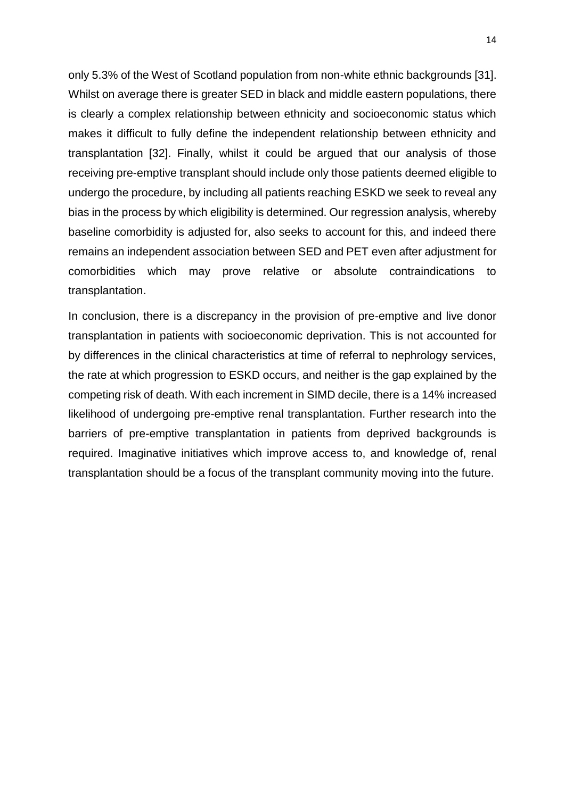only 5.3% of the West of Scotland population from non-white ethnic backgrounds [31]. Whilst on average there is greater SED in black and middle eastern populations, there is clearly a complex relationship between ethnicity and socioeconomic status which makes it difficult to fully define the independent relationship between ethnicity and transplantation [32]. Finally, whilst it could be argued that our analysis of those receiving pre-emptive transplant should include only those patients deemed eligible to undergo the procedure, by including all patients reaching ESKD we seek to reveal any bias in the process by which eligibility is determined. Our regression analysis, whereby baseline comorbidity is adjusted for, also seeks to account for this, and indeed there remains an independent association between SED and PET even after adjustment for comorbidities which may prove relative or absolute contraindications to transplantation.

In conclusion, there is a discrepancy in the provision of pre-emptive and live donor transplantation in patients with socioeconomic deprivation. This is not accounted for by differences in the clinical characteristics at time of referral to nephrology services, the rate at which progression to ESKD occurs, and neither is the gap explained by the competing risk of death. With each increment in SIMD decile, there is a 14% increased likelihood of undergoing pre-emptive renal transplantation. Further research into the barriers of pre-emptive transplantation in patients from deprived backgrounds is required. Imaginative initiatives which improve access to, and knowledge of, renal transplantation should be a focus of the transplant community moving into the future.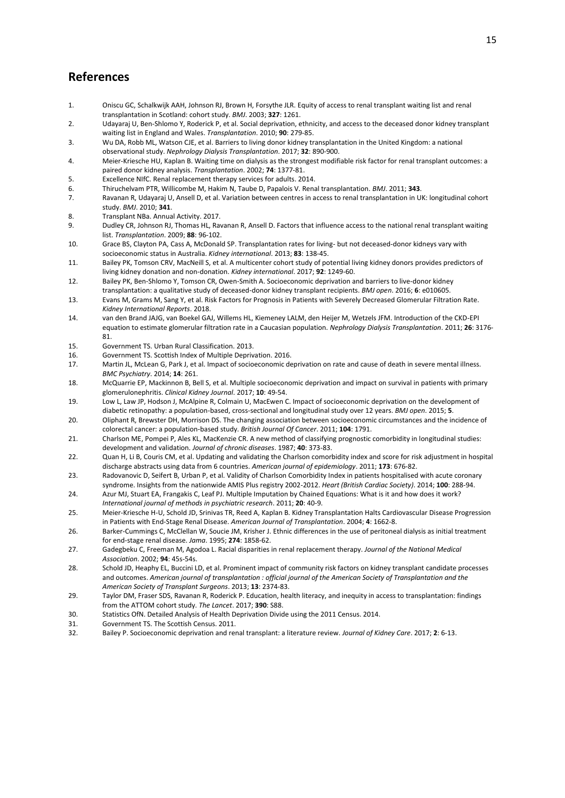## **References**

- 1. Oniscu GC, Schalkwijk AAH, Johnson RJ, Brown H, Forsythe JLR. Equity of access to renal transplant waiting list and renal transplantation in Scotland: cohort study. *BMJ*. 2003; **327**: 1261.
- 2. Udayaraj U, Ben-Shlomo Y, Roderick P, et al. Social deprivation, ethnicity, and access to the deceased donor kidney transplant waiting list in England and Wales. *Transplantation*. 2010; **90**: 279-85.
- 3. Wu DA, Robb ML, Watson CJE, et al. Barriers to living donor kidney transplantation in the United Kingdom: a national observational study. *Nephrology Dialysis Transplantation*. 2017; **32**: 890-900.
- 4. Meier-Kriesche HU, Kaplan B. Waiting time on dialysis as the strongest modifiable risk factor for renal transplant outcomes: a paired donor kidney analysis. *Transplantation*. 2002; **74**: 1377-81.
- 5. Excellence NIfC. Renal replacement therapy services for adults. 2014.
- 6. Thiruchelvam PTR, Willicombe M, Hakim N, Taube D, Papalois V. Renal transplantation. *BMJ*. 2011; **343**.
- 7. Ravanan R, Udayaraj U, Ansell D, et al. Variation between centres in access to renal transplantation in UK: longitudinal cohort study. *BMJ*. 2010; **341**.
- 8. Transplant NBa. Annual Activity. 2017.
- 9. Dudley CR, Johnson RJ, Thomas HL, Ravanan R, Ansell D. Factors that influence access to the national renal transplant waiting list. *Transplantation*. 2009; **88**: 96-102.
- 10. Grace BS, Clayton PA, Cass A, McDonald SP. Transplantation rates for living- but not deceased-donor kidneys vary with socioeconomic status in Australia. *Kidney international*. 2013; **83**: 138-45.
- 11. Bailey PK, Tomson CRV, MacNeill S, et al. A multicenter cohort study of potential living kidney donors provides predictors of living kidney donation and non-donation. *Kidney international*. 2017; **92**: 1249-60.
- 12. Bailey PK, Ben-Shlomo Y, Tomson CR, Owen-Smith A. Socioeconomic deprivation and barriers to live-donor kidney transplantation: a qualitative study of deceased-donor kidney transplant recipients. *BMJ open*. 2016; **6**: e010605.
- 13. Evans M, Grams M, Sang Y, et al. Risk Factors for Prognosis in Patients with Severely Decreased Glomerular Filtration Rate. *Kidney International Reports*. 2018.
- 14. van den Brand JAJG, van Boekel GAJ, Willems HL, Kiemeney LALM, den Heijer M, Wetzels JFM. Introduction of the CKD-EPI equation to estimate glomerular filtration rate in a Caucasian population. *Nephrology Dialysis Transplantation*. 2011; **26**: 3176- 81.
- 15. Government TS. Urban Rural Classification. 2013.
- 16. Government TS. Scottish Index of Multiple Deprivation. 2016.
- 17. Martin JL, McLean G, Park J, et al. Impact of socioeconomic deprivation on rate and cause of death in severe mental illness. *BMC Psychiatry*. 2014; **14**: 261.
- 18. McQuarrie EP, Mackinnon B, Bell S, et al. Multiple socioeconomic deprivation and impact on survival in patients with primary glomerulonephritis. *Clinical Kidney Journal*. 2017; **10**: 49-54.
- 19. Low L, Law JP, Hodson J, McAlpine R, Colmain U, MacEwen C. Impact of socioeconomic deprivation on the development of diabetic retinopathy: a population-based, cross-sectional and longitudinal study over 12 years. *BMJ open*. 2015; **5**.
- 20. Oliphant R, Brewster DH, Morrison DS. The changing association between socioeconomic circumstances and the incidence of colorectal cancer: a population-based study. *British Journal Of Cancer*. 2011; **104**: 1791.
- 21. Charlson ME, Pompei P, Ales KL, MacKenzie CR. A new method of classifying prognostic comorbidity in longitudinal studies: development and validation. *Journal of chronic diseases*. 1987; **40**: 373-83.
- 22. Quan H, Li B, Couris CM, et al. Updating and validating the Charlson comorbidity index and score for risk adjustment in hospital discharge abstracts using data from 6 countries. *American journal of epidemiology*. 2011; **173**: 676-82.
- 23. Radovanovic D, Seifert B, Urban P, et al. Validity of Charlson Comorbidity Index in patients hospitalised with acute coronary syndrome. Insights from the nationwide AMIS Plus registry 2002-2012. *Heart (British Cardiac Society)*. 2014; **100**: 288-94.
- 24. Azur MJ, Stuart EA, Frangakis C, Leaf PJ. Multiple Imputation by Chained Equations: What is it and how does it work? *International journal of methods in psychiatric research*. 2011; **20**: 40-9.
- 25. Meier-Kriesche H-U, Schold JD, Srinivas TR, Reed A, Kaplan B. Kidney Transplantation Halts Cardiovascular Disease Progression in Patients with End-Stage Renal Disease. *American Journal of Transplantation*. 2004; **4**: 1662-8.
- 26. Barker-Cummings C, McClellan W, Soucie JM, Krisher J. Ethnic differences in the use of peritoneal dialysis as initial treatment for end-stage renal disease. *Jama*. 1995; **274**: 1858-62.
- 27. Gadegbeku C, Freeman M, Agodoa L. Racial disparities in renal replacement therapy. *Journal of the National Medical Association*. 2002; **94**: 45s-54s.
- 28. Schold JD, Heaphy EL, Buccini LD, et al. Prominent impact of community risk factors on kidney transplant candidate processes and outcomes. *American journal of transplantation : official journal of the American Society of Transplantation and the American Society of Transplant Surgeons*. 2013; **13**: 2374-83.
- 29. Taylor DM, Fraser SDS, Ravanan R, Roderick P. Education, health literacy, and inequity in access to transplantation: findings from the ATTOM cohort study. *The Lancet*. 2017; **390**: S88.
- 30. Statistics OfN. Detailed Analysis of Health Deprivation Divide using the 2011 Census. 2014.
- 31. Government TS. The Scottish Census. 2011.
- 32. Bailey P. Socioeconomic deprivation and renal transplant: a literature review. *Journal of Kidney Care*. 2017; **2**: 6-13.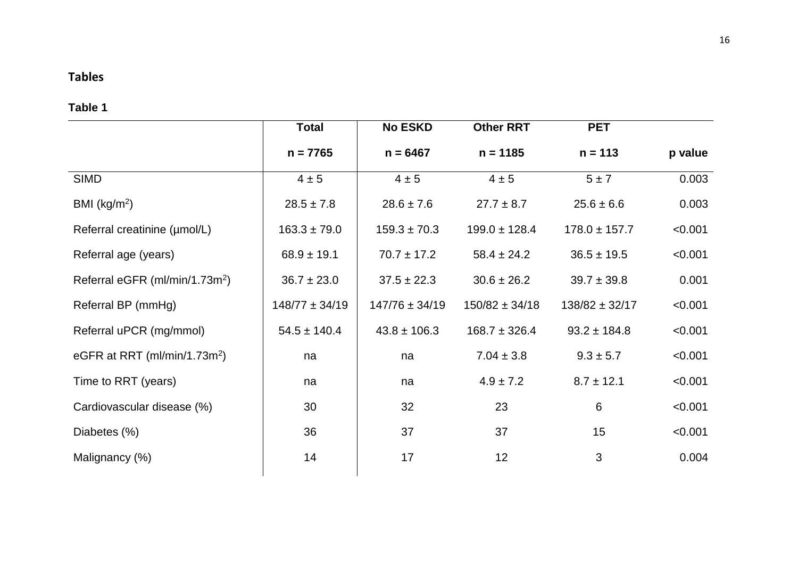# **Tables**

# **Table 1**

|                                            | <b>Total</b>       | <b>No ESKD</b>     | <b>Other RRT</b>   | <b>PET</b>         |         |
|--------------------------------------------|--------------------|--------------------|--------------------|--------------------|---------|
|                                            | $n = 7765$         | $n = 6467$         | $n = 1185$         | $n = 113$          | p value |
| <b>SIMD</b>                                | $4 \pm 5$          | $4 \pm 5$          | $4 \pm 5$          | $5 \pm 7$          | 0.003   |
| BMI ( $kg/m2$ )                            | $28.5 \pm 7.8$     | $28.6 \pm 7.6$     | $27.7 \pm 8.7$     | $25.6 \pm 6.6$     | 0.003   |
| Referral creatinine (µmol/L)               | $163.3 \pm 79.0$   | $159.3 \pm 70.3$   | $199.0 \pm 128.4$  | $178.0 \pm 157.7$  | < 0.001 |
| Referral age (years)                       | $68.9 \pm 19.1$    | $70.7 \pm 17.2$    | $58.4 \pm 24.2$    | $36.5 \pm 19.5$    | < 0.001 |
| Referral eGFR (ml/min/1.73m <sup>2</sup> ) | $36.7 \pm 23.0$    | $37.5 \pm 22.3$    | $30.6 \pm 26.2$    | $39.7 \pm 39.8$    | 0.001   |
| Referral BP (mmHg)                         | $148/77 \pm 34/19$ | $147/76 \pm 34/19$ | $150/82 \pm 34/18$ | $138/82 \pm 32/17$ | < 0.001 |
| Referral uPCR (mg/mmol)                    | $54.5 \pm 140.4$   | $43.8 \pm 106.3$   | $168.7 \pm 326.4$  | $93.2 \pm 184.8$   | < 0.001 |
| eGFR at RRT (ml/min/1.73m <sup>2</sup> )   | na                 | na                 | $7.04 \pm 3.8$     | $9.3 \pm 5.7$      | < 0.001 |
| Time to RRT (years)                        | na                 | na                 | $4.9 \pm 7.2$      | $8.7 \pm 12.1$     | < 0.001 |
| Cardiovascular disease (%)                 | 30                 | 32                 | 23                 | 6                  | < 0.001 |
| Diabetes (%)                               | 36                 | 37                 | 37                 | 15                 | < 0.001 |
| Malignancy (%)                             | 14                 | 17                 | 12                 | 3                  | 0.004   |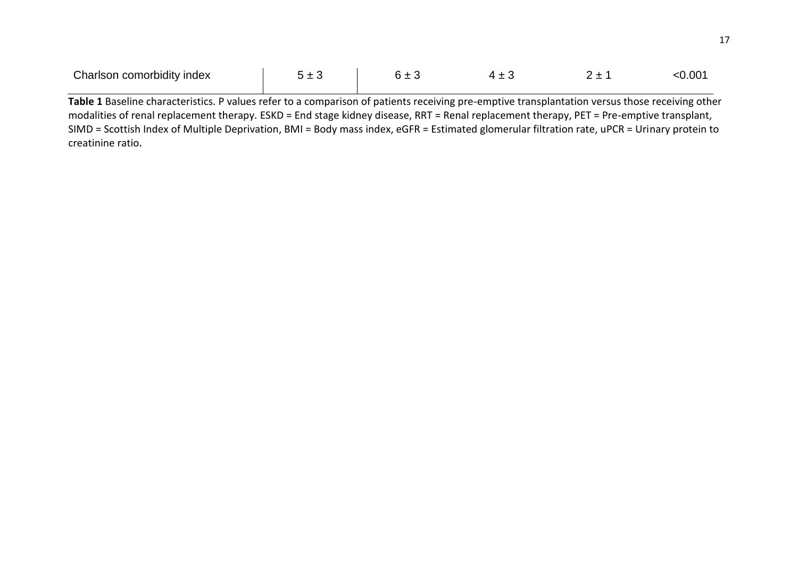| Charlson comorbidity index |  |  | :0.00 $^{\circ}$<br>( ) ~ |
|----------------------------|--|--|---------------------------|
|                            |  |  |                           |

**Table 1** Baseline characteristics. P values refer to a comparison of patients receiving pre-emptive transplantation versus those receiving other modalities of renal replacement therapy. ESKD = End stage kidney disease, RRT = Renal replacement therapy, PET = Pre-emptive transplant, SIMD = Scottish Index of Multiple Deprivation, BMI = Body mass index, eGFR = Estimated glomerular filtration rate, uPCR = Urinary protein to creatinine ratio**.**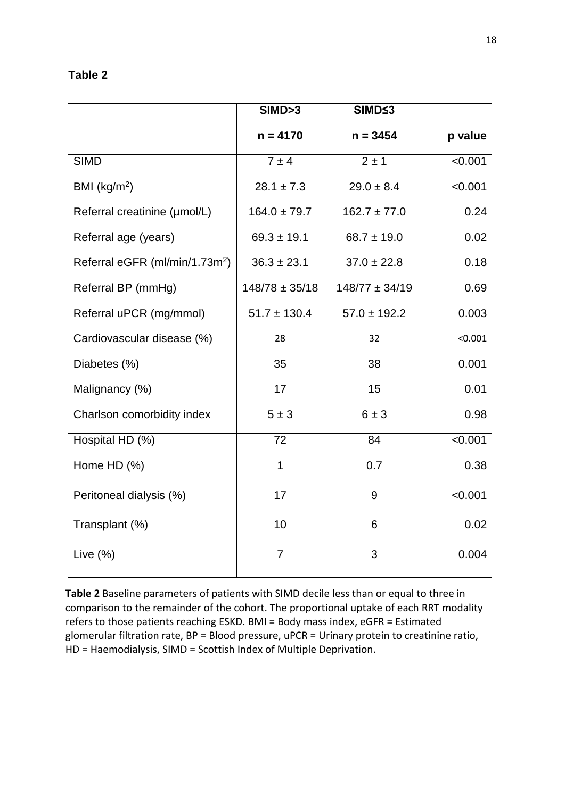| abr |  |
|-----|--|
|-----|--|

|                                            | SIMD>3             | SIMD≤3             |                |
|--------------------------------------------|--------------------|--------------------|----------------|
|                                            | $n = 4170$         | $n = 3454$         | p value        |
| <b>SIMD</b>                                | $7 \pm 4$          | $2 \pm 1$          | < 0.001        |
| BMI ( $kg/m2$ )                            | $28.1 \pm 7.3$     | $29.0 \pm 8.4$     | < 0.001        |
| Referral creatinine (µmol/L)               | $164.0 \pm 79.7$   | $162.7 \pm 77.0$   | 0.24           |
| Referral age (years)                       | $69.3 \pm 19.1$    | $68.7 \pm 19.0$    | 0.02           |
| Referral eGFR (ml/min/1.73m <sup>2</sup> ) | $36.3 \pm 23.1$    | $37.0 \pm 22.8$    | 0.18           |
| Referral BP (mmHg)                         | $148/78 \pm 35/18$ | $148/77 \pm 34/19$ | 0.69           |
| Referral uPCR (mg/mmol)                    | $51.7 \pm 130.4$   | $57.0 \pm 192.2$   | 0.003          |
| Cardiovascular disease (%)                 | 28                 | 32                 | < 0.001        |
| Diabetes (%)                               | 35                 | 38                 | 0.001          |
| Malignancy (%)                             | 17                 | 15                 | 0.01           |
| Charlson comorbidity index                 | $5 \pm 3$          | $6 \pm 3$          | 0.98           |
| Hospital HD (%)                            | 72                 | 84                 | $\sqrt{0.001}$ |
| Home HD (%)                                | 1                  | 0.7                | 0.38           |
| Peritoneal dialysis (%)                    | 17                 | 9                  | < 0.001        |
| Transplant (%)                             | 10                 | 6                  | 0.02           |
| Live $(\%)$                                | $\overline{7}$     | 3                  | 0.004          |

**Table 2** Baseline parameters of patients with SIMD decile less than or equal to three in comparison to the remainder of the cohort. The proportional uptake of each RRT modality refers to those patients reaching ESKD. BMI = Body mass index, eGFR = Estimated glomerular filtration rate, BP = Blood pressure, uPCR = Urinary protein to creatinine ratio, HD = Haemodialysis, SIMD = Scottish Index of Multiple Deprivation.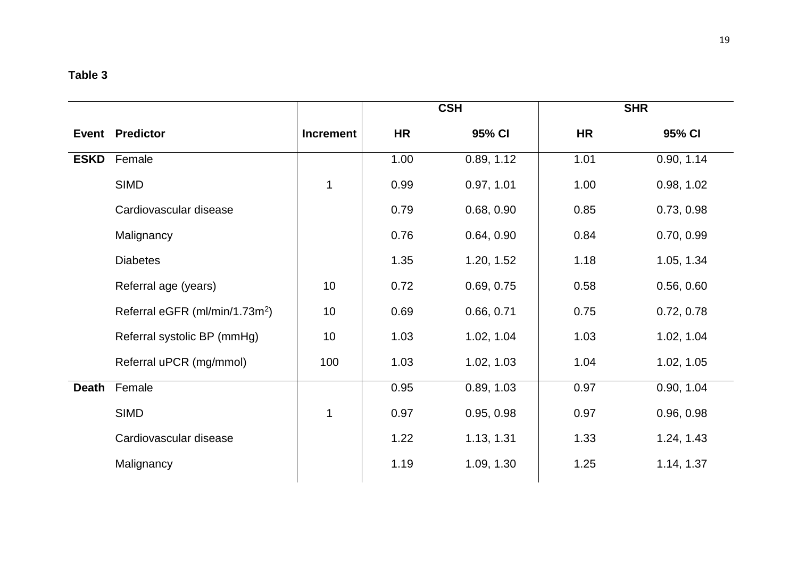# **Table 3**

|              |                                            |                  | <b>CSH</b> |            | <b>SHR</b> |            |
|--------------|--------------------------------------------|------------------|------------|------------|------------|------------|
| <b>Event</b> | <b>Predictor</b>                           | <b>Increment</b> | <b>HR</b>  | 95% CI     | <b>HR</b>  | 95% CI     |
| <b>ESKD</b>  | Female                                     |                  | 1.00       | 0.89, 1.12 | 1.01       | 0.90, 1.14 |
|              | <b>SIMD</b>                                | 1                | 0.99       | 0.97, 1.01 | 1.00       | 0.98, 1.02 |
|              | Cardiovascular disease                     |                  | 0.79       | 0.68, 0.90 | 0.85       | 0.73, 0.98 |
|              | Malignancy                                 |                  | 0.76       | 0.64, 0.90 | 0.84       | 0.70, 0.99 |
|              | <b>Diabetes</b>                            |                  | 1.35       | 1.20, 1.52 | 1.18       | 1.05, 1.34 |
|              | Referral age (years)                       | 10               | 0.72       | 0.69, 0.75 | 0.58       | 0.56, 0.60 |
|              | Referral eGFR (ml/min/1.73m <sup>2</sup> ) | 10               | 0.69       | 0.66, 0.71 | 0.75       | 0.72, 0.78 |
|              | Referral systolic BP (mmHg)                | 10               | 1.03       | 1.02, 1.04 | 1.03       | 1.02, 1.04 |
|              | Referral uPCR (mg/mmol)                    | 100              | 1.03       | 1.02, 1.03 | 1.04       | 1.02, 1.05 |
| <b>Death</b> | Female                                     |                  | 0.95       | 0.89, 1.03 | 0.97       | 0.90, 1.04 |
|              | <b>SIMD</b>                                | 1                | 0.97       | 0.95, 0.98 | 0.97       | 0.96, 0.98 |
|              | Cardiovascular disease                     |                  | 1.22       | 1.13, 1.31 | 1.33       | 1.24, 1.43 |
|              | Malignancy                                 |                  | 1.19       | 1.09, 1.30 | 1.25       | 1.14, 1.37 |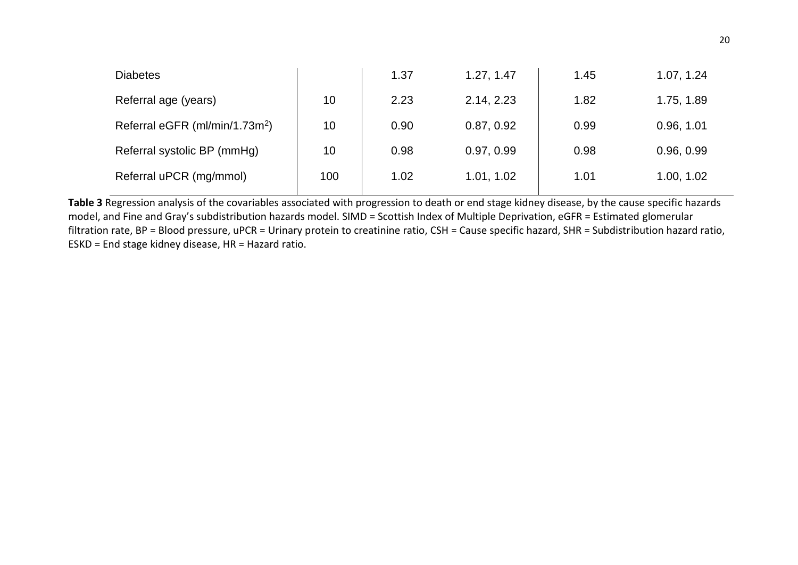| <b>Diabetes</b>                            |     | 1.37 | 1.27, 1.47 | 1.45 | 1.07, 1.24 |
|--------------------------------------------|-----|------|------------|------|------------|
| Referral age (years)                       | 10  | 2.23 | 2.14, 2.23 | 1.82 | 1.75, 1.89 |
| Referral eGFR (ml/min/1.73m <sup>2</sup> ) | 10  | 0.90 | 0.87, 0.92 | 0.99 | 0.96, 1.01 |
| Referral systolic BP (mmHg)                | 10  | 0.98 | 0.97, 0.99 | 0.98 | 0.96, 0.99 |
| Referral uPCR (mg/mmol)                    | 100 | 1.02 | 1.01, 1.02 | 1.01 | 1.00, 1.02 |

**Table 3** Regression analysis of the covariables associated with progression to death or end stage kidney disease, by the cause specific hazards model, and Fine and Gray's subdistribution hazards model. SIMD = Scottish Index of Multiple Deprivation, eGFR = Estimated glomerular filtration rate, BP = Blood pressure, uPCR = Urinary protein to creatinine ratio, CSH = Cause specific hazard, SHR = Subdistribution hazard ratio, ESKD = End stage kidney disease, HR = Hazard ratio.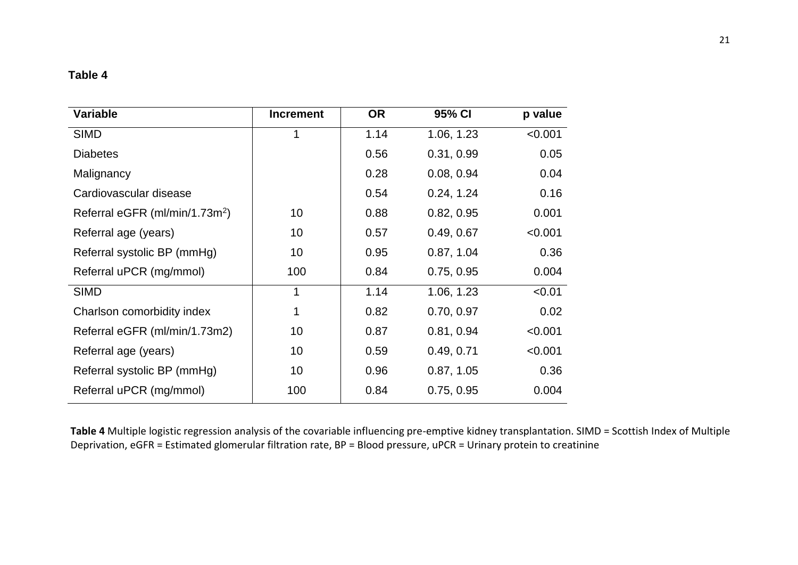# **Table 4**

| <b>Variable</b>                            | <b>Increment</b> | <b>OR</b> | 95% CI     | p value |
|--------------------------------------------|------------------|-----------|------------|---------|
| <b>SIMD</b>                                | 1                | 1.14      | 1.06, 1.23 | < 0.001 |
| <b>Diabetes</b>                            |                  | 0.56      | 0.31, 0.99 | 0.05    |
| Malignancy                                 |                  | 0.28      | 0.08, 0.94 | 0.04    |
| Cardiovascular disease                     |                  | 0.54      | 0.24, 1.24 | 0.16    |
| Referral eGFR (ml/min/1.73m <sup>2</sup> ) | 10               | 0.88      | 0.82, 0.95 | 0.001   |
| Referral age (years)                       | 10               | 0.57      | 0.49, 0.67 | < 0.001 |
| Referral systolic BP (mmHg)                | 10               | 0.95      | 0.87, 1.04 | 0.36    |
| Referral uPCR (mg/mmol)                    | 100              | 0.84      | 0.75, 0.95 | 0.004   |
| <b>SIMD</b>                                | 1                | 1.14      | 1.06, 1.23 | < 0.01  |
| Charlson comorbidity index                 | 1                | 0.82      | 0.70, 0.97 | 0.02    |
| Referral eGFR (ml/min/1.73m2)              | 10               | 0.87      | 0.81, 0.94 | < 0.001 |
| Referral age (years)                       | 10               | 0.59      | 0.49, 0.71 | < 0.001 |
| Referral systolic BP (mmHg)                | 10               | 0.96      | 0.87, 1.05 | 0.36    |
| Referral uPCR (mg/mmol)                    | 100              | 0.84      | 0.75, 0.95 | 0.004   |

**Table 4** Multiple logistic regression analysis of the covariable influencing pre-emptive kidney transplantation. SIMD = Scottish Index of Multiple Deprivation, eGFR = Estimated glomerular filtration rate, BP = Blood pressure, uPCR = Urinary protein to creatinine